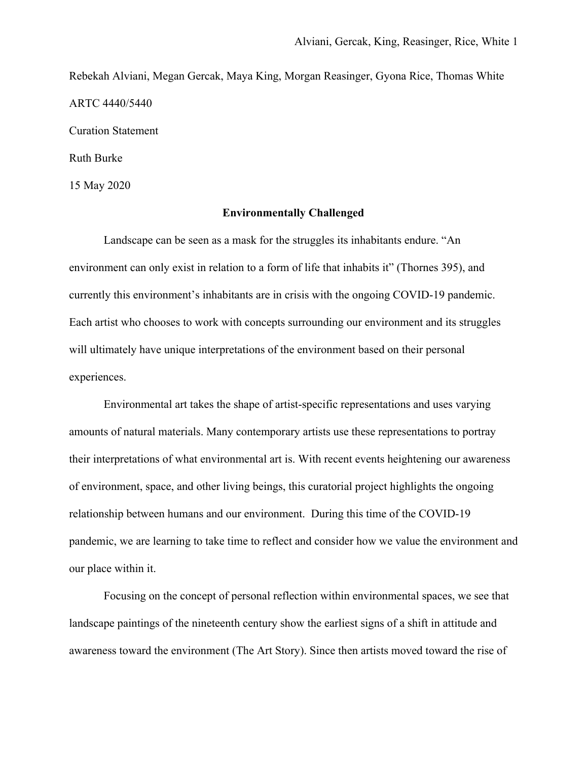Rebekah Alviani, Megan Gercak, Maya King, Morgan Reasinger, Gyona Rice, Thomas White ARTC 4440/5440

Curation Statement

Ruth Burke

15 May 2020

## **Environmentally Challenged**

Landscape can be seen as a mask for the struggles its inhabitants endure. "An environment can only exist in relation to a form of life that inhabits it" (Thornes 395), and currently this environment's inhabitants are in crisis with the ongoing COVID-19 pandemic. Each artist who chooses to work with concepts surrounding our environment and its struggles will ultimately have unique interpretations of the environment based on their personal experiences.

Environmental art takes the shape of artist-specific representations and uses varying amounts of natural materials. Many contemporary artists use these representations to portray their interpretations of what environmental art is. With recent events heightening our awareness of environment, space, and other living beings, this curatorial project highlights the ongoing relationship between humans and our environment. During this time of the COVID-19 pandemic, we are learning to take time to reflect and consider how we value the environment and our place within it.

Focusing on the concept of personal reflection within environmental spaces, we see that landscape paintings of the nineteenth century show the earliest signs of a shift in attitude and awareness toward the environment (The Art Story). Since then artists moved toward the rise of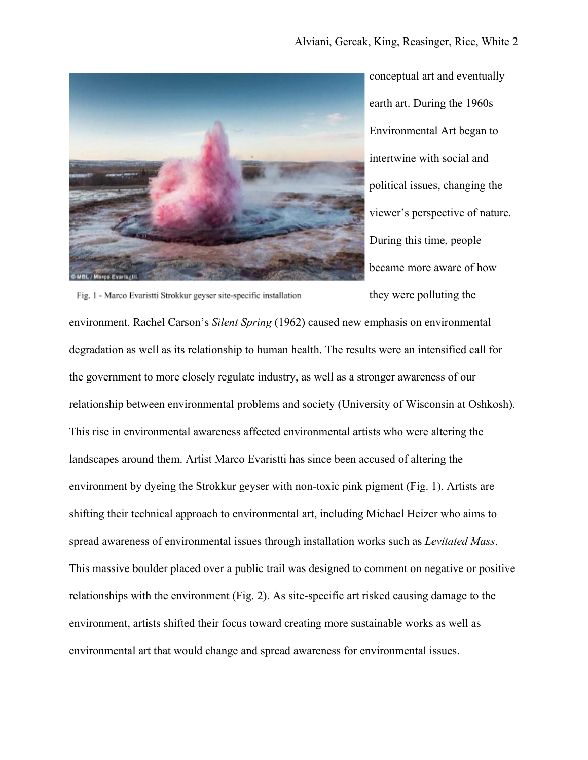

conceptual art and eventually earth art. During the 1960s Environmental Art began to intertwine with social and political issues, changing the viewer's perspective of nature. During this time, people became more aware of how they were polluting the

environment. Rachel Carson's *Silent Spring* (1962) caused new emphasis on environmental degradation as well as its relationship to human health. The results were an intensified call for the government to more closely regulate industry, as well as a stronger awareness of our relationship between environmental problems and society (University of Wisconsin at Oshkosh). This rise in environmental awareness affected environmental artists who were altering the landscapes around them. Artist Marco Evaristti has since been accused of altering the environment by dyeing the Strokkur geyser with non-toxic pink pigment (Fig. 1). Artists are shifting their technical approach to environmental art, including Michael Heizer who aims to spread awareness of environmental issues through installation works such as *Levitated Mass*. This massive boulder placed over a public trail was designed to comment on negative or positive relationships with the environment (Fig. 2). As site-specific art risked causing damage to the environment, artists shifted their focus toward creating more sustainable works as well as environmental art that would change and spread awareness for environmental issues.

Fig. 1 - Marco Evaristti Strokkur geyser site-specific installation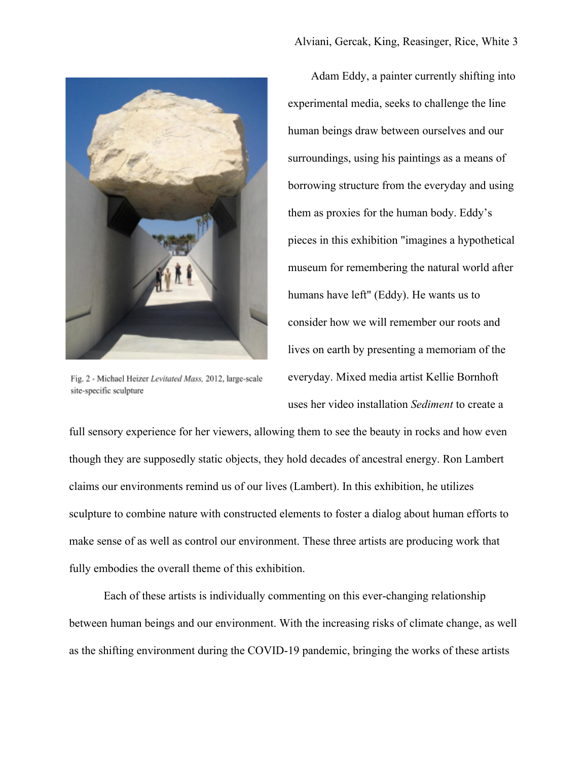

Fig. 2 - Michael Heizer Levitated Mass, 2012, large-scale site-specific sculpture

Adam Eddy, a painter currently shifting into experimental media, seeks to challenge the line human beings draw between ourselves and our surroundings, using his paintings as a means of borrowing structure from the everyday and using them as proxies for the human body. Eddy's pieces in this exhibition "imagines a hypothetical museum for remembering the natural world after humans have left" (Eddy). He wants us to consider how we will remember our roots and lives on earth by presenting a memoriam of the everyday. Mixed media artist Kellie Bornhoft uses her video installation *Sediment* to create a

full sensory experience for her viewers, allowing them to see the beauty in rocks and how even though they are supposedly static objects, they hold decades of ancestral energy. Ron Lambert claims our environments remind us of our lives (Lambert). In this exhibition, he utilizes sculpture to combine nature with constructed elements to foster a dialog about human efforts to make sense of as well as control our environment. These three artists are producing work that fully embodies the overall theme of this exhibition.

Each of these artists is individually commenting on this ever-changing relationship between human beings and our environment. With the increasing risks of climate change, as well as the shifting environment during the COVID-19 pandemic, bringing the works of these artists